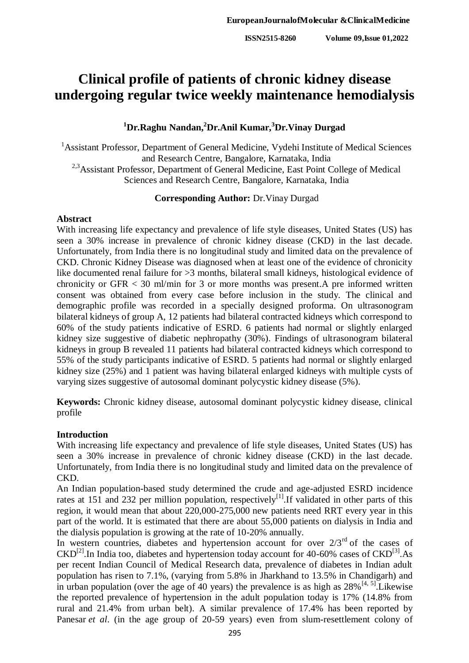# **Clinical profile of patients of chronic kidney disease undergoing regular twice weekly maintenance hemodialysis**

## **<sup>1</sup>Dr.Raghu Nandan,<sup>2</sup>Dr.Anil Kumar,<sup>3</sup>Dr.Vinay Durgad**

<sup>1</sup> Assistant Professor, Department of General Medicine, Vydehi Institute of Medical Sciences and Research Centre, Bangalore, Karnataka, India <sup>2,3</sup>Assistant Professor, Department of General Medicine, East Point College of Medical Sciences and Research Centre, Bangalore, Karnataka, India

#### **Corresponding Author:** Dr.Vinay Durgad

### **Abstract**

With increasing life expectancy and prevalence of life style diseases, United States (US) has seen a 30% increase in prevalence of chronic kidney disease (CKD) in the last decade. Unfortunately, from India there is no longitudinal study and limited data on the prevalence of CKD. Chronic Kidney Disease was diagnosed when at least one of the evidence of chronicity like documented renal failure for >3 months, bilateral small kidneys, histological evidence of chronicity or GFR < 30 ml/min for 3 or more months was present.A pre informed written consent was obtained from every case before inclusion in the study. The clinical and demographic profile was recorded in a specially designed proforma. On ultrasonogram bilateral kidneys of group A, 12 patients had bilateral contracted kidneys which correspond to 60% of the study patients indicative of ESRD. 6 patients had normal or slightly enlarged kidney size suggestive of diabetic nephropathy (30%). Findings of ultrasonogram bilateral kidneys in group B revealed 11 patients had bilateral contracted kidneys which correspond to 55% of the study participants indicative of ESRD. 5 patients had normal or slightly enlarged kidney size (25%) and 1 patient was having bilateral enlarged kidneys with multiple cysts of varying sizes suggestive of autosomal dominant polycystic kidney disease (5%).

**Keywords:** Chronic kidney disease, autosomal dominant polycystic kidney disease, clinical profile

## **Introduction**

With increasing life expectancy and prevalence of life style diseases, United States (US) has seen a 30% increase in prevalence of chronic kidney disease (CKD) in the last decade. Unfortunately, from India there is no longitudinal study and limited data on the prevalence of CKD.

An Indian population-based study determined the crude and age-adjusted ESRD incidence rates at 151 and 232 per million population, respectively<sup>[1]</sup>. If validated in other parts of this region, it would mean that about 220,000-275,000 new patients need RRT every year in this part of the world. It is estimated that there are about 55,000 patients on dialysis in India and the dialysis population is growing at the rate of 10-20% annually.

In western countries, diabetes and hypertension account for over  $2/3^{rd}$  of the cases of  $\text{CKD}^{[2]}$ . In India too, diabetes and hypertension today account for 40-60% cases of  $\text{CKD}^{[3]}$ . As per recent Indian Council of Medical Research data, prevalence of diabetes in Indian adult population has risen to 7.1%, (varying from 5.8% in Jharkhand to 13.5% in Chandigarh) and in urban population (over the age of 40 years) the prevalence is as high as  $28\%$ <sup>[4, 5]</sup>. Likewise the reported prevalence of hypertension in the adult population today is 17% (14.8% from rural and 21.4% from urban belt). A similar prevalence of 17.4% has been reported by Panesar *et al.* (in the age group of 20-59 years) even from slum-resettlement colony of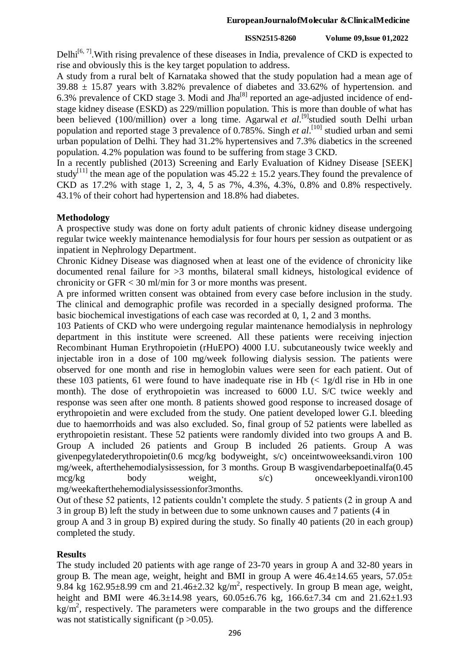#### **ISSN2515-8260 Volume 09,Issue 01,2022**

Delhi<sup>[6, 7]</sup>. With rising prevalence of these diseases in India, prevalence of CKD is expected to rise and obviously this is the key target population to address.

A study from a rural belt of Karnataka showed that the study population had a mean age of  $39.88 \pm 15.87$  years with 3.82% prevalence of diabetes and 33.62% of hypertension. and 6.3% prevalence of CKD stage 3. Modi and Jha $^{[8]}$  reported an age-adjusted incidence of endstage kidney disease (ESKD) as 229/million population. This is more than double of what has been believed (100/million) over a long time. Agarwal *et al.*<sup>[9]</sup>studied south Delhi urban population and reported stage 3 prevalence of 0.785%. Singh *et al.*<sup>[10]</sup> studied urban and semi urban population of Delhi. They had 31.2% hypertensives and 7.3% diabetics in the screened population. 4.2% population was found to be suffering from stage 3 CKD.

In a recently published (2013) Screening and Early Evaluation of Kidney Disease [SEEK] study<sup>[11]</sup> the mean age of the population was  $45.22 \pm 15.2$  years. They found the prevalence of CKD as 17.2% with stage 1, 2, 3, 4, 5 as 7%, 4.3%, 4.3%, 0.8% and 0.8% respectively. 43.1% of their cohort had hypertension and 18.8% had diabetes.

## **Methodology**

A prospective study was done on forty adult patients of chronic kidney disease undergoing regular twice weekly maintenance hemodialysis for four hours per session as outpatient or as inpatient in Nephrology Department.

Chronic Kidney Disease was diagnosed when at least one of the evidence of chronicity like documented renal failure for >3 months, bilateral small kidneys, histological evidence of chronicity or GFR < 30 ml/min for 3 or more months was present.

A pre informed written consent was obtained from every case before inclusion in the study. The clinical and demographic profile was recorded in a specially designed proforma. The basic biochemical investigations of each case was recorded at 0, 1, 2 and 3 months.

103 Patients of CKD who were undergoing regular maintenance hemodialysis in nephrology department in this institute were screened. All these patients were receiving injection Recombinant Human Erythropoietin (rHuEPO) 4000 I.U. subcutaneously twice weekly and injectable iron in a dose of 100 mg/week following dialysis session. The patients were observed for one month and rise in hemoglobin values were seen for each patient. Out of these 103 patients, 61 were found to have inadequate rise in Hb  $\ll 1$  g/dl rise in Hb in one month). The dose of erythropoietin was increased to 6000 I.U. S/C twice weekly and response was seen after one month. 8 patients showed good response to increased dosage of erythropoietin and were excluded from the study. One patient developed lower G.I. bleeding due to haemorrhoids and was also excluded. So, final group of 52 patients were labelled as erythropoietin resistant. These 52 patients were randomly divided into two groups A and B. Group A included 26 patients and Group B included 26 patients. Group A was givenpegylatederythropoietin(0.6 mcg/kg bodyweight, s/c) onceintwoweeksandi.viron 100 mg/week, afterthehemodialysissession, for 3 months. Group B wasgivendarbepoetinalfa(0.45 mcg/kg body weight, s/c) onceweeklyandi.viron100 mg/weekafterthehemodialysissessionfor3months.

Out of these 52 patients, 12 patients couldn't complete the study. 5 patients (2 in group A and 3 in group B) left the study in between due to some unknown causes and 7 patients (4 in group A and 3 in group B) expired during the study. So finally 40 patients (20 in each group)

completed the study.

## **Results**

The study included 20 patients with age range of 23-70 years in group A and 32-80 years in group B. The mean age, weight, height and BMI in group A were  $46.4\pm14.65$  years,  $57.05\pm$ 9.84 kg  $162.95\pm8.99$  cm and  $21.46\pm2.32$  kg/m<sup>2</sup>, respectively. In group B mean age, weight, height and BMI were  $46.3\pm14.98$  years,  $60.05\pm6.76$  kg,  $166.6\pm7.34$  cm and  $21.62\pm1.93$  $kg/m<sup>2</sup>$ , respectively. The parameters were comparable in the two groups and the difference was not statistically significant ( $p > 0.05$ ).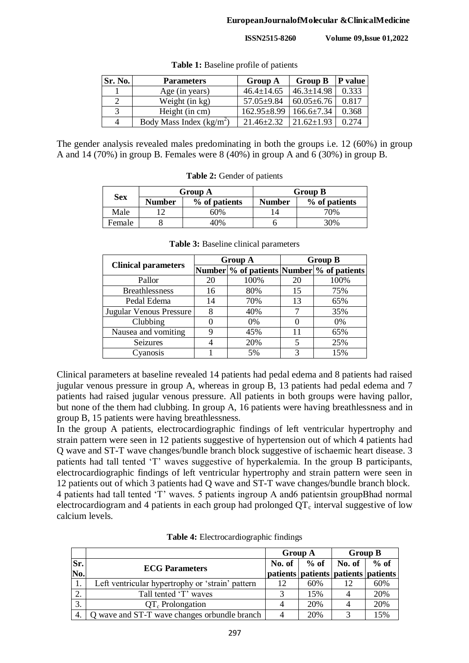| Sr. No. | <b>Parameters</b>          | <b>Group A</b>    | <b>Group B</b>   | P value |
|---------|----------------------------|-------------------|------------------|---------|
|         | Age (in years)             | $46.4 \pm 14.65$  | $46.3 \pm 14.98$ | 0.333   |
|         | Weight (in kg)             | $57.05 \pm 9.84$  | $60.05 \pm 6.76$ | 0.817   |
| 3       | Height (in cm)             | $162.95 \pm 8.99$ | $166.6\pm 7.34$  | 0.368   |
| 4       | Body Mass Index $(kg/m^2)$ | $21.46 \pm 2.32$  | $21.62 \pm 1.93$ | 0.274   |

**Table 1:** Baseline profile of patients

The gender analysis revealed males predominating in both the groups i.e. 12 (60%) in group A and 14 (70%) in group B. Females were 8 (40%) in group A and 6 (30%) in group B.

**Table 2:** Gender of patients

| <b>Sex</b> |        | Group A       |               | <b>Group B</b> |
|------------|--------|---------------|---------------|----------------|
|            | Number | % of patients | <b>Number</b> | % of patients  |
| Male       |        | 60%           |               | 70%            |
| Female     |        | 10%           |               | 30%            |

| Female                                       |                       | 40% | h              |    | 30%                                         |  |  |
|----------------------------------------------|-----------------------|-----|----------------|----|---------------------------------------------|--|--|
| <b>Table 3:</b> Baseline clinical parameters |                       |     |                |    |                                             |  |  |
| <b>Clinical parameters</b>                   |                       |     | <b>Group A</b> |    | <b>Group B</b>                              |  |  |
|                                              |                       |     |                |    | Number \% of patients Number \% of patients |  |  |
|                                              | Pallor                | 20  | 100%           | 20 | 100%                                        |  |  |
|                                              | <b>Breathlessness</b> | 16  | 80%            |    | 75%                                         |  |  |

Pedal Edema 14 70% 13 65%

| Nausea and vomiting | 45% | 65% |
|---------------------|-----|-----|
| <b>Seizures</b>     | 20% | 25% |
| Cyanosis            | 5%  | 15% |

Clinical parameters at baseline revealed 14 patients had pedal edema and 8 patients had raised jugular venous pressure in group A, whereas in group B, 13 patients had pedal edema and 7 patients had raised jugular venous pressure. All patients in both groups were having pallor, but none of the them had clubbing. In group A, 16 patients were having breathlessness and in group B, 15 patients were having breathlessness.

In the group A patients, electrocardiographic findings of left ventricular hypertrophy and strain pattern were seen in 12 patients suggestive of hypertension out of which 4 patients had Q wave and ST-T wave changes/bundle branch block suggestive of ischaemic heart disease. 3 patients had tall tented 'T' waves suggestive of hyperkalemia. In the group B participants, electrocardiographic findings of left ventricular hypertrophy and strain pattern were seen in 12 patients out of which 3 patients had Q wave and ST-T wave changes/bundle branch block. 4 patients had tall tented 'T' waves. 5 patients ingroup A and6 patientsin groupBhad normal electrocardiogram and 4 patients in each group had prolonged  $OT_c$  interval suggestive of low calcium levels.

|     |                                                  | <b>Group A</b> |        | <b>Group B</b>                            |        |
|-----|--------------------------------------------------|----------------|--------|-------------------------------------------|--------|
| Sr. | <b>ECG</b> Parameters                            | No. of         | $%$ of | No. of                                    | $%$ of |
| No. |                                                  |                |        | patients   patients   patients   patients |        |
| 1.  | Left ventricular hypertrophy or 'strain' pattern | 12             | 60%    | 12                                        | 60%    |
| 2.  | Tall tented 'T' waves                            |                | 15%    |                                           | 20%    |
| 3.  | $QT_c$ Prolongation                              |                | 20%    |                                           | 20%    |
| 4.  | Q wave and ST-T wave changes orbundle branch     |                | 20%    |                                           | 15%    |

**Table 4:** Electrocardiographic findings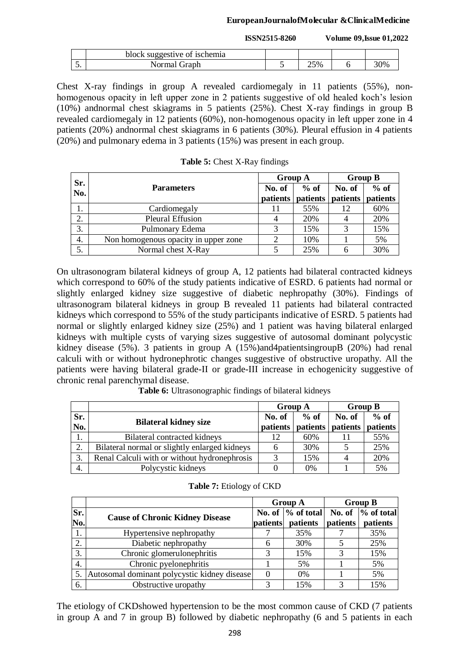#### **EuropeanJournalofMolecular &ClinicalMedicine**

**ISSN2515-8260 Volume 09,Issue 01,2022**

|         | block suggestive of ischemia |     |     |
|---------|------------------------------|-----|-----|
| -<br>J. | Normal Graph                 | 25% | 30% |

Chest X-ray findings in group A revealed cardiomegaly in 11 patients (55%), nonhomogenous opacity in left upper zone in 2 patients suggestive of old healed koch's lesion (10%) andnormal chest skiagrams in 5 patients (25%). Chest X-ray findings in group B revealed cardiomegaly in 12 patients (60%), non-homogenous opacity in left upper zone in 4 patients (20%) andnormal chest skiagrams in 6 patients (30%). Pleural effusion in 4 patients (20%) and pulmonary edema in 3 patients (15%) was present in each group.

| Sr. |                                      | <b>Group A</b> |          | <b>Group B</b>    |        |
|-----|--------------------------------------|----------------|----------|-------------------|--------|
| No. | <b>Parameters</b>                    | No. of         | $%$ of   | No. of            | $%$ of |
|     |                                      | patients       | patients | patients patients |        |
| 1.  | Cardiomegaly                         |                | 55%      | 12                | 60%    |
| 2.  | <b>Pleural Effusion</b>              |                | 20%      |                   | 20%    |
| 3.  | Pulmonary Edema                      | 3              | 15%      | 3                 | 15%    |
| 4.  | Non homogenous opacity in upper zone |                | 10%      |                   | 5%     |
| 5.  | Normal chest X-Ray                   |                | 25%      |                   | 30%    |

**Table 5:** Chest X-Ray findings

On ultrasonogram bilateral kidneys of group A, 12 patients had bilateral contracted kidneys which correspond to 60% of the study patients indicative of ESRD. 6 patients had normal or slightly enlarged kidney size suggestive of diabetic nephropathy (30%). Findings of ultrasonogram bilateral kidneys in group B revealed 11 patients had bilateral contracted kidneys which correspond to 55% of the study participants indicative of ESRD. 5 patients had normal or slightly enlarged kidney size (25%) and 1 patient was having bilateral enlarged kidneys with multiple cysts of varying sizes suggestive of autosomal dominant polycystic kidney disease (5%). 3 patients in group A (15%)and4patientsingroupB (20%) had renal calculi with or without hydronephrotic changes suggestive of obstructive uropathy. All the patients were having bilateral grade-II or grade-III increase in echogenicity suggestive of chronic renal parenchymal disease.

**Table 6:** Ultrasonographic findings of bilateral kidneys

|                     |                                               | <b>Group A</b> |          | <b>Group B</b> |          |
|---------------------|-----------------------------------------------|----------------|----------|----------------|----------|
| Sr.                 |                                               | No. of         | $%$ of   | No. of         | $%$ of   |
| No.                 | <b>Bilateral kidney size</b>                  | patients       | patients | patients       | patients |
| ı.                  | Bilateral contracted kidneys                  |                | 60%      |                | 55%      |
| $\mathcal{D}$<br>۷. | Bilateral normal or slightly enlarged kidneys |                | 30%      |                | 25%      |
| 3.                  | Renal Calculi with or without hydronephrosis  | 2              | 15%      |                | 20%      |
| 4.                  | Polycystic kidneys                            |                | 0%       |                | 5%       |

|            |                                              |          | <b>Group A</b>                   | <b>Group B</b> |                                  |  |
|------------|----------------------------------------------|----------|----------------------------------|----------------|----------------------------------|--|
| Sr.<br>No. | <b>Cause of Chronic Kidney Disease</b>       | patients | No. of $\%$ of total<br>patients | patients       | No. of $\%$ of total<br>patients |  |
| 1.         | Hypertensive nephropathy                     |          | 35%                              |                | 35%                              |  |
| 2.         | Diabetic nephropathy                         | h        | 30%                              |                | 25%                              |  |
| 3.         | Chronic glomerulonephritis                   |          | 15%                              | 3              | 15%                              |  |
| 4.         | Chronic pyelonephritis                       |          | 5%                               |                | 5%                               |  |
| 5.         | Autosomal dominant polycystic kidney disease |          | $0\%$                            |                | 5%                               |  |
| 6.         | Obstructive uropathy                         |          | 15%                              | 3              | 15%                              |  |

The etiology of CKDshowed hypertension to be the most common cause of CKD (7 patients in group A and 7 in group B) followed by diabetic nephropathy (6 and 5 patients in each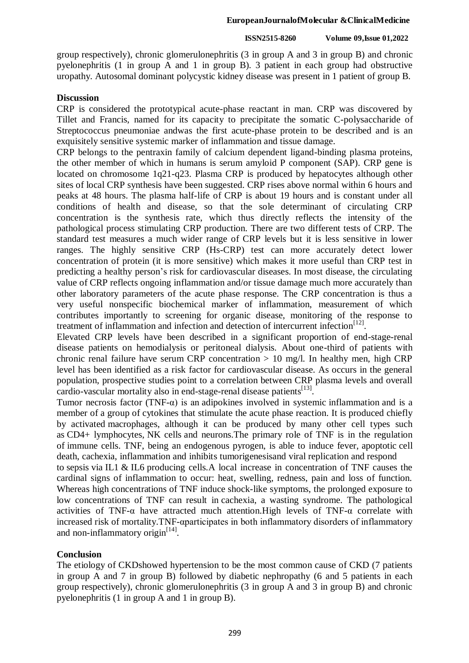#### **EuropeanJournalofMolecular &ClinicalMedicine**

#### **ISSN2515-8260 Volume 09,Issue 01,2022**

group respectively), chronic glomerulonephritis (3 in group A and 3 in group B) and chronic pyelonephritis (1 in group A and 1 in group B). 3 patient in each group had obstructive uropathy. Autosomal dominant polycystic kidney disease was present in 1 patient of group B.

## **Discussion**

CRP is considered the prototypical acute-phase reactant in man. CRP was discovered by Tillet and Francis, named for its capacity to precipitate the somatic C-polysaccharide of Streptococcus pneumoniae andwas the first acute-phase protein to be described and is an exquisitely sensitive systemic marker of inflammation and tissue damage.

CRP belongs to the pentraxin family of calcium dependent ligand-binding plasma proteins, the other member of which in humans is serum amyloid P component (SAP). CRP gene is located on chromosome 1q21-q23. Plasma CRP is produced by hepatocytes although other sites of local CRP synthesis have been suggested. CRP rises above normal within 6 hours and peaks at 48 hours. The plasma half-life of CRP is about 19 hours and is constant under all conditions of health and disease, so that the sole determinant of circulating CRP concentration is the synthesis rate, which thus directly reflects the intensity of the pathological process stimulating CRP production. There are two different tests of CRP. The standard test measures a much wider range of CRP levels but it is less sensitive in lower ranges. The highly sensitive CRP (Hs-CRP) test can more accurately detect lower concentration of protein (it is more sensitive) which makes it more useful than CRP test in predicting a healthy person's risk for cardiovascular diseases. In most disease, the circulating value of CRP reflects ongoing inflammation and/or tissue damage much more accurately than other laboratory parameters of the acute phase response. The CRP concentration is thus a very useful nonspecific biochemical marker of inflammation, measurement of which contributes importantly to screening for organic disease, monitoring of the response to treatment of inflammation and infection and detection of intercurrent infection<sup>[12]</sup>.

Elevated CRP levels have been described in a significant proportion of end-stage-renal disease patients on hemodialysis or peritoneal dialysis. About one-third of patients with chronic renal failure have serum CRP concentration  $> 10$  mg/l. In healthy men, high CRP level has been identified as a risk factor for cardiovascular disease. As occurs in the general population, prospective studies point to a correlation between CRP plasma levels and overall cardio-vascular mortality also in end-stage-renal disease patients<sup>[13]</sup>.

Tumor necrosis factor (TNF- $\alpha$ ) is an adipokines involved in systemic inflammation and is a member of a group of cytokines that stimulate the acute phase reaction. It is produced chiefly by activated macrophages, although it can be produced by many other cell types such as CD4+ lymphocytes, NK cells and neurons.The primary role of TNF is in the regulation of immune cells. TNF, being an endogenous pyrogen, is able to induce fever, apoptotic cell death, cachexia, inflammation and inhibits tumorigenesisand viral replication and respond

to sepsis via IL1 & IL6 producing cells.A local increase in concentration of TNF causes the cardinal signs of inflammation to occur: heat, swelling, redness, pain and loss of function. Whereas high concentrations of TNF induce shock-like symptoms, the prolonged exposure to low concentrations of TNF can result in cachexia, a wasting syndrome. The pathological activities of TNF-α have attracted much attention.High levels of TNF-α correlate with increased risk of mortality.TNF-αparticipates in both inflammatory disorders of inflammatory and non-inflammatory origin<sup>[14]</sup>.

## **Conclusion**

The etiology of CKDshowed hypertension to be the most common cause of CKD (7 patients in group A and 7 in group B) followed by diabetic nephropathy (6 and 5 patients in each group respectively), chronic glomerulonephritis (3 in group A and 3 in group B) and chronic pyelonephritis (1 in group A and 1 in group B).